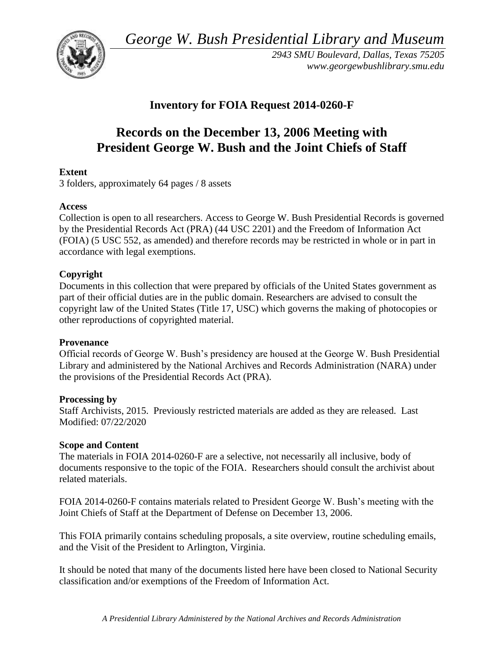*George W. Bush Presidential Library and Museum* 



*2943 SMU Boulevard, Dallas, Texas 75205 <www.georgewbushlibrary.smu.edu>*

# **Inventory for FOIA Request 2014-0260-F**

# **Records on the December 13, 2006 Meeting with President George W. Bush and the Joint Chiefs of Staff**

# **Extent**

3 folders, approximately 64 pages / 8 assets

# **Access**

Collection is open to all researchers. Access to George W. Bush Presidential Records is governed by the Presidential Records Act (PRA) (44 USC 2201) and the Freedom of Information Act (FOIA) (5 USC 552, as amended) and therefore records may be restricted in whole or in part in accordance with legal exemptions.

# **Copyright**

Documents in this collection that were prepared by officials of the United States government as part of their official duties are in the public domain. Researchers are advised to consult the copyright law of the United States (Title 17, USC) which governs the making of photocopies or other reproductions of copyrighted material.

### **Provenance**

 Official records of George W. Bush's presidency are housed at the George W. Bush Presidential Library and administered by the National Archives and Records Administration (NARA) under the provisions of the Presidential Records Act (PRA).

### **Processing by**

Staff Archivists, 2015. Previously restricted materials are added as they are released. Last Modified: 07/22/2020

### **Scope and Content**

 The materials in FOIA 2014-0260-F are a selective, not necessarily all inclusive, body of documents responsive to the topic of the FOIA. Researchers should consult the archivist about related materials.

FOIA 2014-0260-F contains materials related to President George W. Bush's meeting with the Joint Chiefs of Staff at the Department of Defense on December 13, 2006.

This FOIA primarily contains scheduling proposals, a site overview, routine scheduling emails, and the Visit of the President to Arlington, Virginia.

It should be noted that many of the documents listed here have been closed to National Security classification and/or exemptions of the Freedom of Information Act.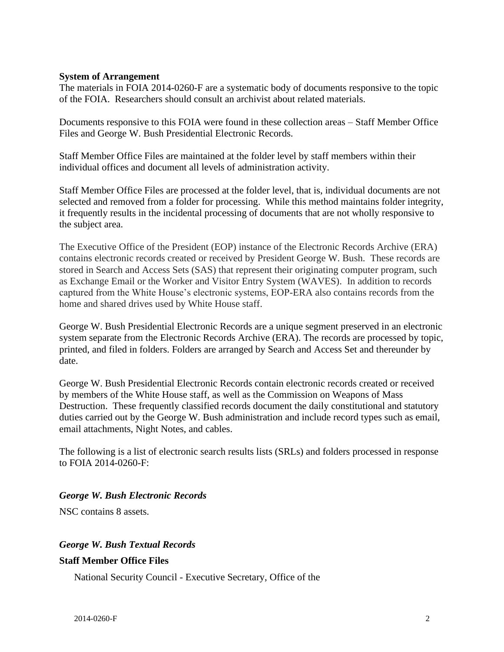#### **System of Arrangement**

 The materials in FOIA 2014-0260-F are a systematic body of documents responsive to the topic of the FOIA. Researchers should consult an archivist about related materials.

Documents responsive to this FOIA were found in these collection areas – Staff Member Office Files and George W. Bush Presidential Electronic Records.

Staff Member Office Files are maintained at the folder level by staff members within their individual offices and document all levels of administration activity.

Staff Member Office Files are processed at the folder level, that is, individual documents are not selected and removed from a folder for processing. While this method maintains folder integrity, it frequently results in the incidental processing of documents that are not wholly responsive to the subject area.

The Executive Office of the President (EOP) instance of the Electronic Records Archive (ERA) contains electronic records created or received by President George W. Bush. These records are stored in Search and Access Sets (SAS) that represent their originating computer program, such as Exchange Email or the Worker and Visitor Entry System (WAVES). In addition to records captured from the White House's electronic systems, EOP-ERA also contains records from the home and shared drives used by White House staff.

George W. Bush Presidential Electronic Records are a unique segment preserved in an electronic system separate from the Electronic Records Archive (ERA). The records are processed by topic, printed, and filed in folders. Folders are arranged by Search and Access Set and thereunder by date.

George W. Bush Presidential Electronic Records contain electronic records created or received by members of the White House staff, as well as the Commission on Weapons of Mass Destruction. These frequently classified records document the daily constitutional and statutory duties carried out by the George W. Bush administration and include record types such as email, email attachments, Night Notes, and cables.

The following is a list of electronic search results lists (SRLs) and folders processed in response to FOIA 2014-0260-F:

#### *George W. Bush Electronic Records*

NSC contains 8 assets.

#### *George W. Bush Textual Records*

#### **Staff Member Office Files**

National Security Council - Executive Secretary, Office of the